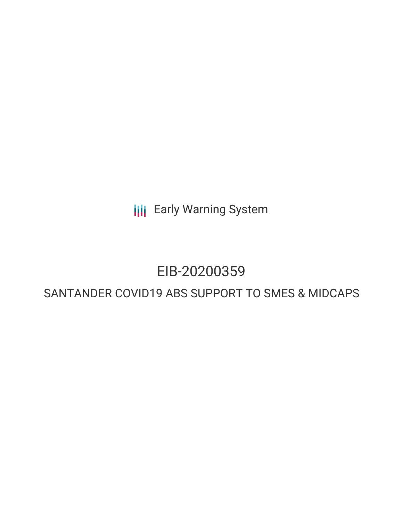**III** Early Warning System

# EIB-20200359

## SANTANDER COVID19 ABS SUPPORT TO SMES & MIDCAPS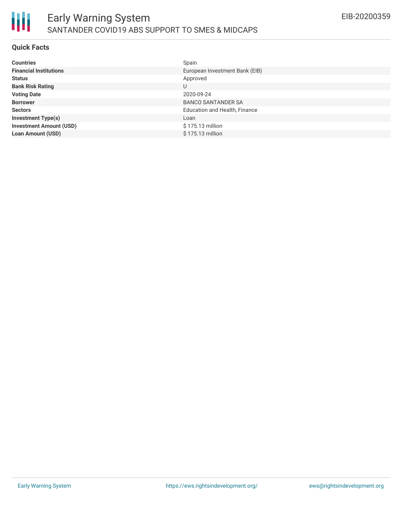

#### **Quick Facts**

| <b>Countries</b>               | Spain                          |
|--------------------------------|--------------------------------|
| <b>Financial Institutions</b>  | European Investment Bank (EIB) |
| <b>Status</b>                  | Approved                       |
| <b>Bank Risk Rating</b>        | U                              |
| <b>Voting Date</b>             | 2020-09-24                     |
| <b>Borrower</b>                | <b>BANCO SANTANDER SA</b>      |
| <b>Sectors</b>                 | Education and Health, Finance  |
| <b>Investment Type(s)</b>      | Loan                           |
| <b>Investment Amount (USD)</b> | \$175.13 million               |
| <b>Loan Amount (USD)</b>       | \$175.13 million               |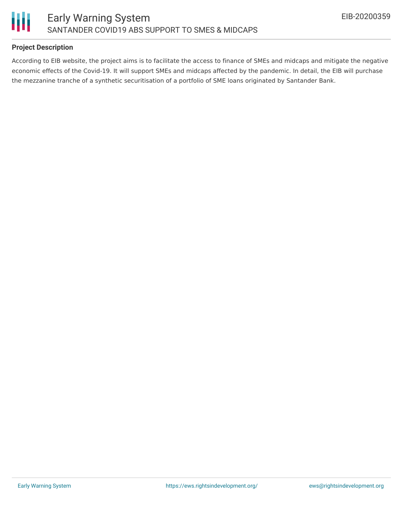

#### **Project Description**

According to EIB website, the project aims is to facilitate the access to finance of SMEs and midcaps and mitigate the negative economic effects of the Covid-19. It will support SMEs and midcaps affected by the pandemic. In detail, the EIB will purchase the mezzanine tranche of a synthetic securitisation of a portfolio of SME loans originated by Santander Bank.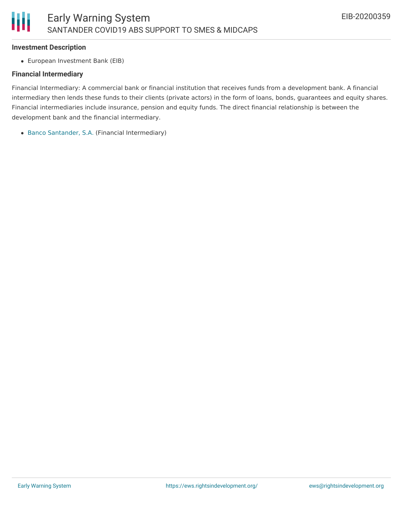#### **Investment Description**

European Investment Bank (EIB)

#### **Financial Intermediary**

Financial Intermediary: A commercial bank or financial institution that receives funds from a development bank. A financial intermediary then lends these funds to their clients (private actors) in the form of loans, bonds, guarantees and equity shares. Financial intermediaries include insurance, pension and equity funds. The direct financial relationship is between the development bank and the financial intermediary.

Banco [Santander,](file:///actor/1281/) S.A. (Financial Intermediary)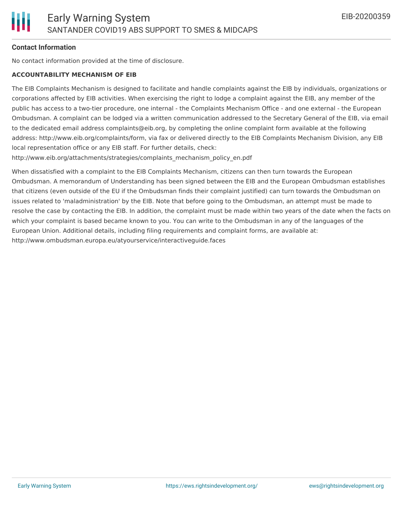#### **Contact Information**

No contact information provided at the time of disclosure.

#### **ACCOUNTABILITY MECHANISM OF EIB**

The EIB Complaints Mechanism is designed to facilitate and handle complaints against the EIB by individuals, organizations or corporations affected by EIB activities. When exercising the right to lodge a complaint against the EIB, any member of the public has access to a two-tier procedure, one internal - the Complaints Mechanism Office - and one external - the European Ombudsman. A complaint can be lodged via a written communication addressed to the Secretary General of the EIB, via email to the dedicated email address complaints@eib.org, by completing the online complaint form available at the following address: http://www.eib.org/complaints/form, via fax or delivered directly to the EIB Complaints Mechanism Division, any EIB local representation office or any EIB staff. For further details, check:

http://www.eib.org/attachments/strategies/complaints\_mechanism\_policy\_en.pdf

When dissatisfied with a complaint to the EIB Complaints Mechanism, citizens can then turn towards the European Ombudsman. A memorandum of Understanding has been signed between the EIB and the European Ombudsman establishes that citizens (even outside of the EU if the Ombudsman finds their complaint justified) can turn towards the Ombudsman on issues related to 'maladministration' by the EIB. Note that before going to the Ombudsman, an attempt must be made to resolve the case by contacting the EIB. In addition, the complaint must be made within two years of the date when the facts on which your complaint is based became known to you. You can write to the Ombudsman in any of the languages of the European Union. Additional details, including filing requirements and complaint forms, are available at: http://www.ombudsman.europa.eu/atyourservice/interactiveguide.faces